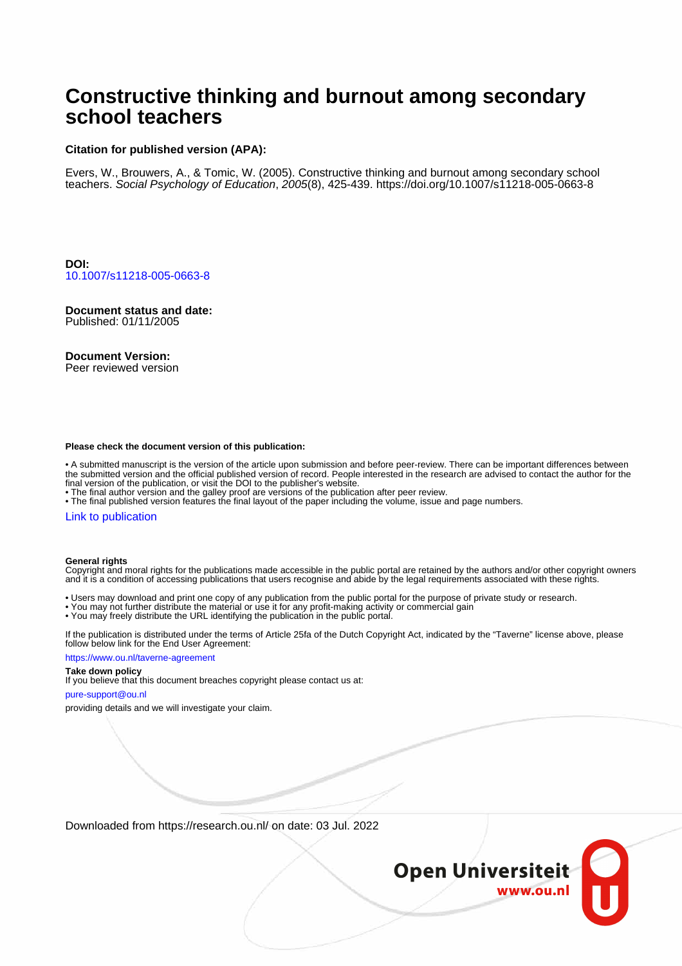# **Constructive thinking and burnout among secondary school teachers**

### **Citation for published version (APA):**

Evers, W., Brouwers, A., & Tomic, W. (2005). Constructive thinking and burnout among secondary school teachers. Social Psychology of Education, 2005(8), 425-439.<https://doi.org/10.1007/s11218-005-0663-8>

**DOI:** [10.1007/s11218-005-0663-8](https://doi.org/10.1007/s11218-005-0663-8)

**Document status and date:** Published: 01/11/2005

#### **Document Version:**

Peer reviewed version

#### **Please check the document version of this publication:**

• A submitted manuscript is the version of the article upon submission and before peer-review. There can be important differences between the submitted version and the official published version of record. People interested in the research are advised to contact the author for the final version of the publication, or visit the DOI to the publisher's website.

• The final author version and the galley proof are versions of the publication after peer review.

• The final published version features the final layout of the paper including the volume, issue and page numbers.

#### [Link to publication](https://research.ou.nl/en/publications/07248660-6172-4336-8f8d-1afc038deaec)

#### **General rights**

Copyright and moral rights for the publications made accessible in the public portal are retained by the authors and/or other copyright owners and it is a condition of accessing publications that users recognise and abide by the legal requirements associated with these rights.

- Users may download and print one copy of any publication from the public portal for the purpose of private study or research.
- You may not further distribute the material or use it for any profit-making activity or commercial gain
- You may freely distribute the URL identifying the publication in the public portal.

If the publication is distributed under the terms of Article 25fa of the Dutch Copyright Act, indicated by the "Taverne" license above, please follow below link for the End User Agreement:

#### https://www.ou.nl/taverne-agreement

# **Take down policy**

If you believe that this document breaches copyright please contact us at:

#### pure-support@ou.nl

providing details and we will investigate your claim.

Downloaded from https://research.ou.nl/ on date: 03 Jul. 2022

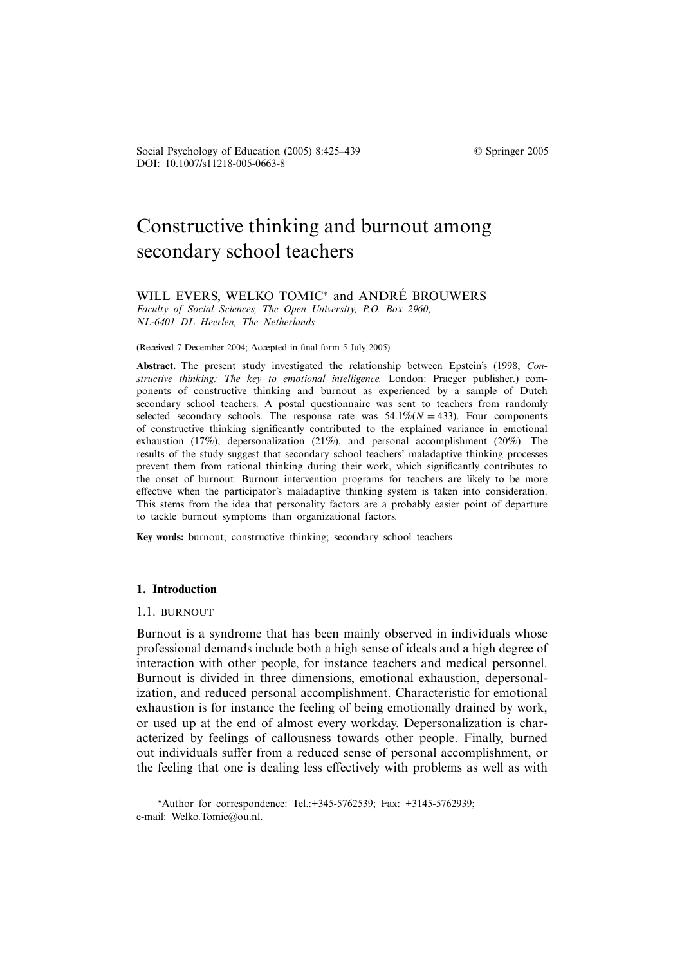DOI: 10.1007/s11218-005-0663-8 Social Psychology of Education (2005) 8:425–439 © Springer 2005

# Constructive thinking and burnout among secondary school teachers

# WILL EVERS, WELKO TOMIC<sup>\*</sup> and ANDRÉ BROUWERS

*Faculty of Social Sciences, The Open University, P.O. Box 2960, NL-6401 DL Heerlen, The Netherlands*

(Received 7 December 2004; Accepted in final form 5 July 2005)

**Abstract.** The present study investigated the relationship between Epstein's (1998, *Constructive thinking: The key to emotional intelligence.* London: Praeger publisher.) components of constructive thinking and burnout as experienced by a sample of Dutch secondary school teachers. A postal questionnaire was sent to teachers from randomly selected secondary schools. The response rate was  $54.1\%$  ( $N = 433$ ). Four components of constructive thinking significantly contributed to the explained variance in emotional exhaustion (17%), depersonalization (21%), and personal accomplishment (20%). The results of the study suggest that secondary school teachers' maladaptive thinking processes prevent them from rational thinking during their work, which significantly contributes to the onset of burnout. Burnout intervention programs for teachers are likely to be more effective when the participator's maladaptive thinking system is taken into consideration. This stems from the idea that personality factors are a probably easier point of departure to tackle burnout symptoms than organizational factors.

**Key words:** burnout; constructive thinking; secondary school teachers

### **1. Introduction**

#### 1.1. BURNOUT

Burnout is a syndrome that has been mainly observed in individuals whose professional demands include both a high sense of ideals and a high degree of interaction with other people, for instance teachers and medical personnel. Burnout is divided in three dimensions, emotional exhaustion, depersonalization, and reduced personal accomplishment. Characteristic for emotional exhaustion is for instance the feeling of being emotionally drained by work, or used up at the end of almost every workday. Depersonalization is characterized by feelings of callousness towards other people. Finally, burned out individuals suffer from a reduced sense of personal accomplishment, or the feeling that one is dealing less effectively with problems as well as with

<sup>\*</sup>Author for correspondence: Tel.: + 345 - 576 2539; Fax: + 3145 - 576 2939; e-mail: Welko.Tomic@ou.nl.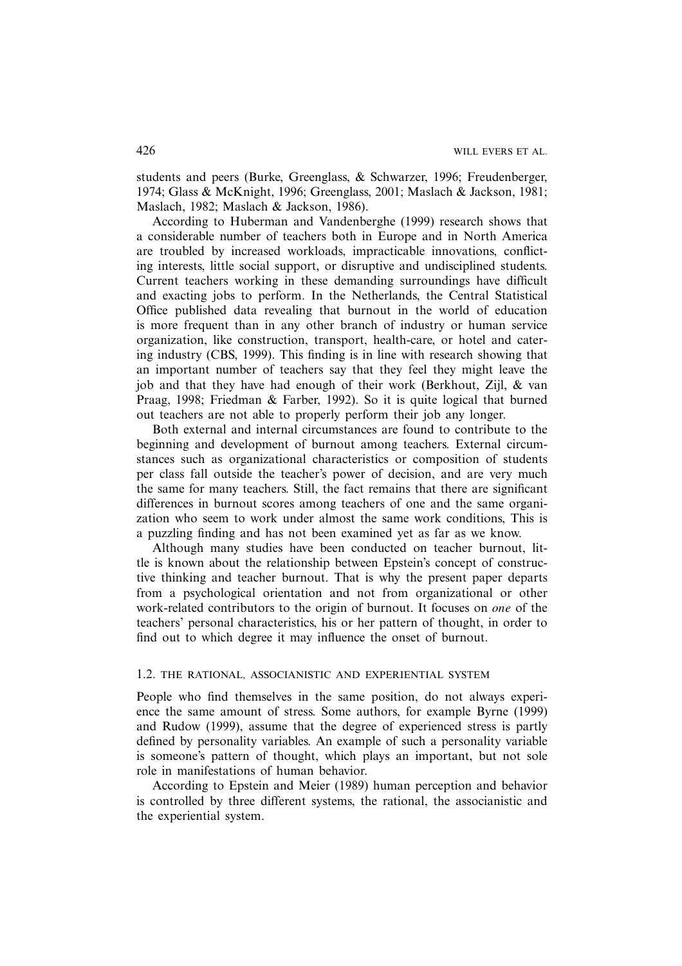students and peers (Burke, Greenglass, & Schwarzer, 1996; Freudenberger, 1974; Glass & McKnight, 1996; Greenglass, 2001; Maslach & Jackson, 1981; Maslach, 1982; Maslach & Jackson, 1986).

According to Huberman and Vandenberghe (1999) research shows that a considerable number of teachers both in Europe and in North America are troubled by increased workloads, impracticable innovations, conflicting interests, little social support, or disruptive and undisciplined students. Current teachers working in these demanding surroundings have difficult and exacting jobs to perform. In the Netherlands, the Central Statistical Office published data revealing that burnout in the world of education is more frequent than in any other branch of industry or human service organization, like construction, transport, health-care, or hotel and catering industry (CBS, 1999). This finding is in line with research showing that an important number of teachers say that they feel they might leave the job and that they have had enough of their work (Berkhout, Zijl, & van Praag, 1998; Friedman & Farber, 1992). So it is quite logical that burned out teachers are not able to properly perform their job any longer.

Both external and internal circumstances are found to contribute to the beginning and development of burnout among teachers. External circumstances such as organizational characteristics or composition of students per class fall outside the teacher's power of decision, and are very much the same for many teachers. Still, the fact remains that there are significant differences in burnout scores among teachers of one and the same organization who seem to work under almost the same work conditions, This is a puzzling finding and has not been examined yet as far as we know.

Although many studies have been conducted on teacher burnout, little is known about the relationship between Epstein's concept of constructive thinking and teacher burnout. That is why the present paper departs from a psychological orientation and not from organizational or other work-related contributors to the origin of burnout. It focuses on *one* of the teachers' personal characteristics, his or her pattern of thought, in order to find out to which degree it may influence the onset of burnout.

# 1.2. THE RATIONAL, ASSOCIANISTIC AND EXPERIENTIAL SYSTEM

People who find themselves in the same position, do not always experience the same amount of stress. Some authors, for example Byrne (1999) and Rudow (1999), assume that the degree of experienced stress is partly defined by personality variables. An example of such a personality variable is someone's pattern of thought, which plays an important, but not sole role in manifestations of human behavior.

According to Epstein and Meier (1989) human perception and behavior is controlled by three different systems, the rational, the associanistic and the experiential system.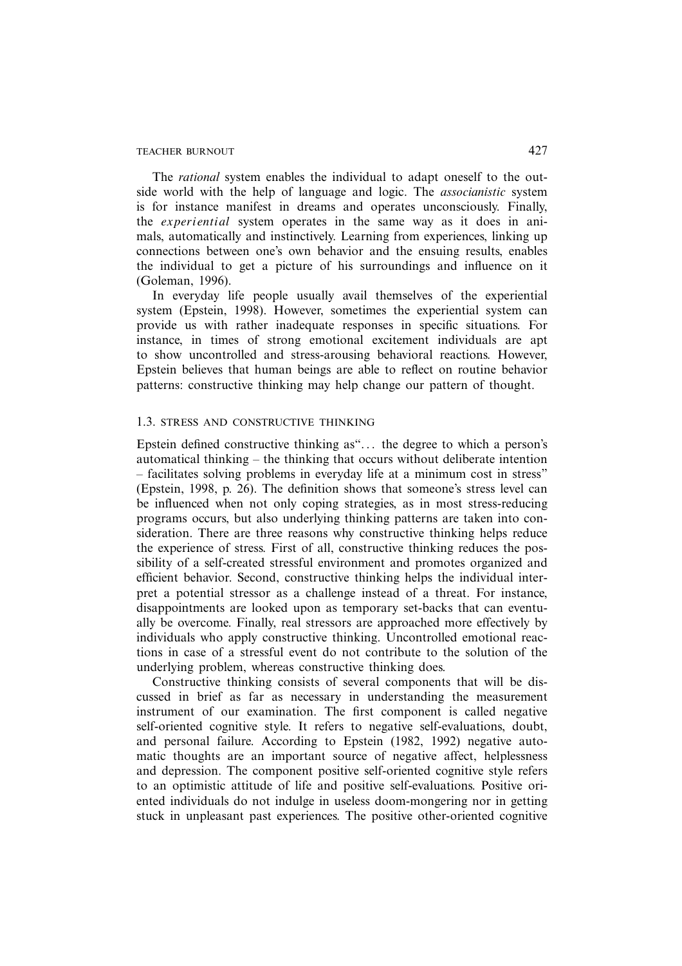The *rational* system enables the individual to adapt oneself to the outside world with the help of language and logic. The *associanistic* system is for instance manifest in dreams and operates unconsciously. Finally, the *experiential* system operates in the same way as it does in animals, automatically and instinctively. Learning from experiences, linking up connections between one's own behavior and the ensuing results, enables the individual to get a picture of his surroundings and influence on it (Goleman, 1996).

In everyday life people usually avail themselves of the experiential system (Epstein, 1998). However, sometimes the experiential system can provide us with rather inadequate responses in specific situations. For instance, in times of strong emotional excitement individuals are apt to show uncontrolled and stress-arousing behavioral reactions. However, Epstein believes that human beings are able to reflect on routine behavior patterns: constructive thinking may help change our pattern of thought.

#### 1.3. STRESS AND CONSTRUCTIVE THINKING

Epstein defined constructive thinking as"*...* the degree to which a person's automatical thinking – the thinking that occurs without deliberate intention – facilitates solving problems in everyday life at a minimum cost in stress" (Epstein, 1998, p. 26). The definition shows that someone's stress level can be influenced when not only coping strategies, as in most stress-reducing programs occurs, but also underlying thinking patterns are taken into consideration. There are three reasons why constructive thinking helps reduce the experience of stress. First of all, constructive thinking reduces the possibility of a self-created stressful environment and promotes organized and efficient behavior. Second, constructive thinking helps the individual interpret a potential stressor as a challenge instead of a threat. For instance, disappointments are looked upon as temporary set-backs that can eventually be overcome. Finally, real stressors are approached more effectively by individuals who apply constructive thinking. Uncontrolled emotional reactions in case of a stressful event do not contribute to the solution of the underlying problem, whereas constructive thinking does.

Constructive thinking consists of several components that will be discussed in brief as far as necessary in understanding the measurement instrument of our examination. The first component is called negative self-oriented cognitive style. It refers to negative self-evaluations, doubt, and personal failure. According to Epstein (1982, 1992) negative automatic thoughts are an important source of negative affect, helplessness and depression. The component positive self-oriented cognitive style refers to an optimistic attitude of life and positive self-evaluations. Positive oriented individuals do not indulge in useless doom-mongering nor in getting stuck in unpleasant past experiences. The positive other-oriented cognitive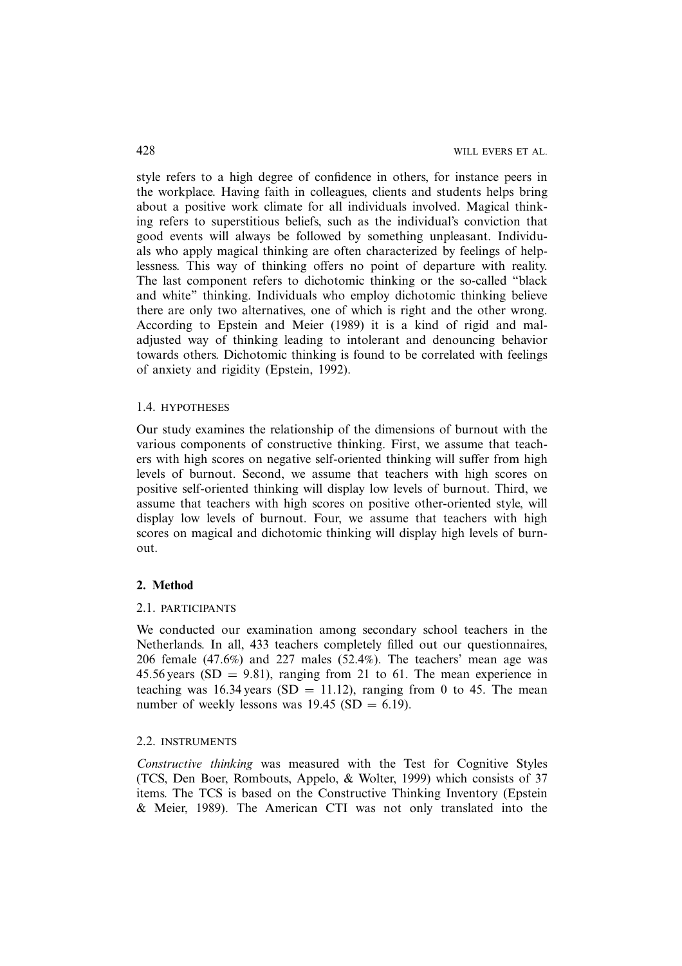style refers to a high degree of confidence in others, for instance peers in the workplace. Having faith in colleagues, clients and students helps bring about a positive work climate for all individuals involved. Magical thinking refers to superstitious beliefs, such as the individual's conviction that good events will always be followed by something unpleasant. Individuals who apply magical thinking are often characterized by feelings of helplessness. This way of thinking offers no point of departure with reality. The last component refers to dichotomic thinking or the so-called "black and white" thinking. Individuals who employ dichotomic thinking believe there are only two alternatives, one of which is right and the other wrong. According to Epstein and Meier (1989) it is a kind of rigid and maladjusted way of thinking leading to intolerant and denouncing behavior towards others. Dichotomic thinking is found to be correlated with feelings of anxiety and rigidity (Epstein, 1992).

## 1.4. HYPOTHESES

Our study examines the relationship of the dimensions of burnout with the various components of constructive thinking. First, we assume that teachers with high scores on negative self-oriented thinking will suffer from high levels of burnout. Second, we assume that teachers with high scores on positive self-oriented thinking will display low levels of burnout. Third, we assume that teachers with high scores on positive other-oriented style, will display low levels of burnout. Four, we assume that teachers with high scores on magical and dichotomic thinking will display high levels of burnout.

#### **2. Method**

#### 2.1. PARTICIPANTS

We conducted our examination among secondary school teachers in the Netherlands. In all, 433 teachers completely filled out our questionnaires, 206 female (47.6%) and 227 males (52.4%). The teachers' mean age was 45.56 years (SD = 9.81), ranging from 21 to 61. The mean experience in teaching was 16.34 years (SD = 11.12), ranging from 0 to 45. The mean number of weekly lessons was  $19.45$  (SD = 6.19).

# 2.2. INSTRUMENTS

*Constructive thinking* was measured with the Test for Cognitive Styles (TCS, Den Boer, Rombouts, Appelo, & Wolter, 1999) which consists of 37 items. The TCS is based on the Constructive Thinking Inventory (Epstein & Meier, 1989). The American CTI was not only translated into the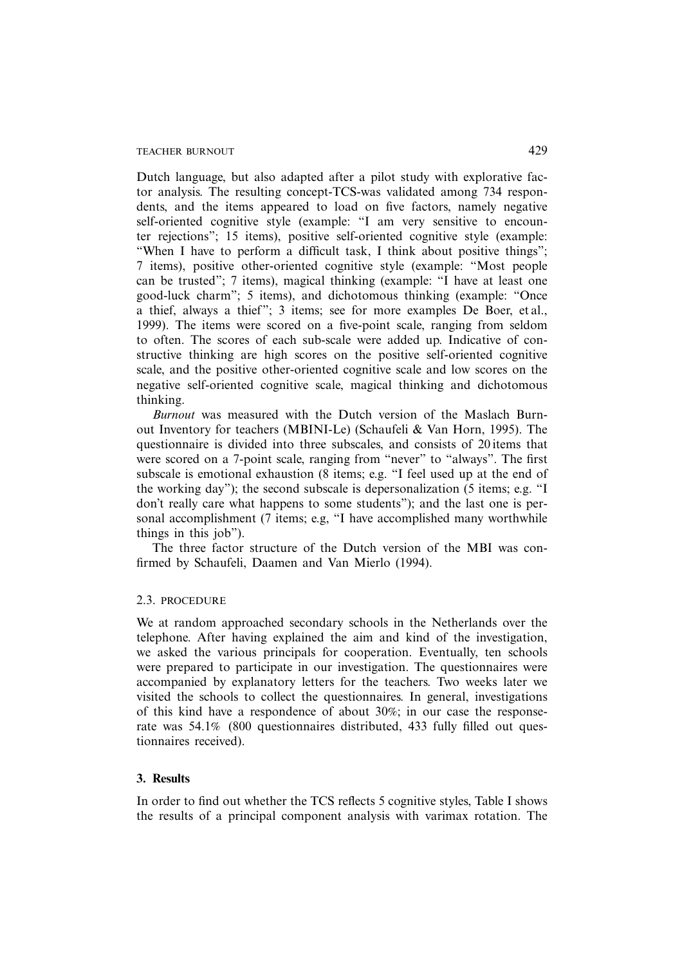Dutch language, but also adapted after a pilot study with explorative factor analysis. The resulting concept-TCS-was validated among 734 respondents, and the items appeared to load on five factors, namely negative self-oriented cognitive style (example: "I am very sensitive to encounter rejections"; 15 items), positive self-oriented cognitive style (example: "When I have to perform a difficult task, I think about positive things"; 7 items), positive other-oriented cognitive style (example: "Most people can be trusted"; 7 items), magical thinking (example: "I have at least one good-luck charm"; 5 items), and dichotomous thinking (example: "Once a thief, always a thief"; 3 items; see for more examples De Boer, et al., 1999). The items were scored on a five-point scale, ranging from seldom to often. The scores of each sub-scale were added up. Indicative of constructive thinking are high scores on the positive self-oriented cognitive scale, and the positive other-oriented cognitive scale and low scores on the negative self-oriented cognitive scale, magical thinking and dichotomous thinking.

*Burnout* was measured with the Dutch version of the Maslach Burnout Inventory for teachers (MBINI-Le) (Schaufeli & Van Horn, 1995). The questionnaire is divided into three subscales, and consists of 20 items that were scored on a 7-point scale, ranging from "never" to "always". The first subscale is emotional exhaustion (8 items; e.g. "I feel used up at the end of the working day"); the second subscale is depersonalization (5 items; e.g. "I don't really care what happens to some students"); and the last one is personal accomplishment (7 items; e.g, "I have accomplished many worthwhile things in this job").

The three factor structure of the Dutch version of the MBI was confirmed by Schaufeli, Daamen and Van Mierlo (1994).

# 2.3. PROCEDURE

We at random approached secondary schools in the Netherlands over the telephone. After having explained the aim and kind of the investigation, we asked the various principals for cooperation. Eventually, ten schools were prepared to participate in our investigation. The questionnaires were accompanied by explanatory letters for the teachers. Two weeks later we visited the schools to collect the questionnaires. In general, investigations of this kind have a respondence of about 30%; in our case the responserate was 54.1% (800 questionnaires distributed, 433 fully filled out questionnaires received).

#### **3. Results**

In order to find out whether the TCS reflects 5 cognitive styles, Table I shows the results of a principal component analysis with varimax rotation. The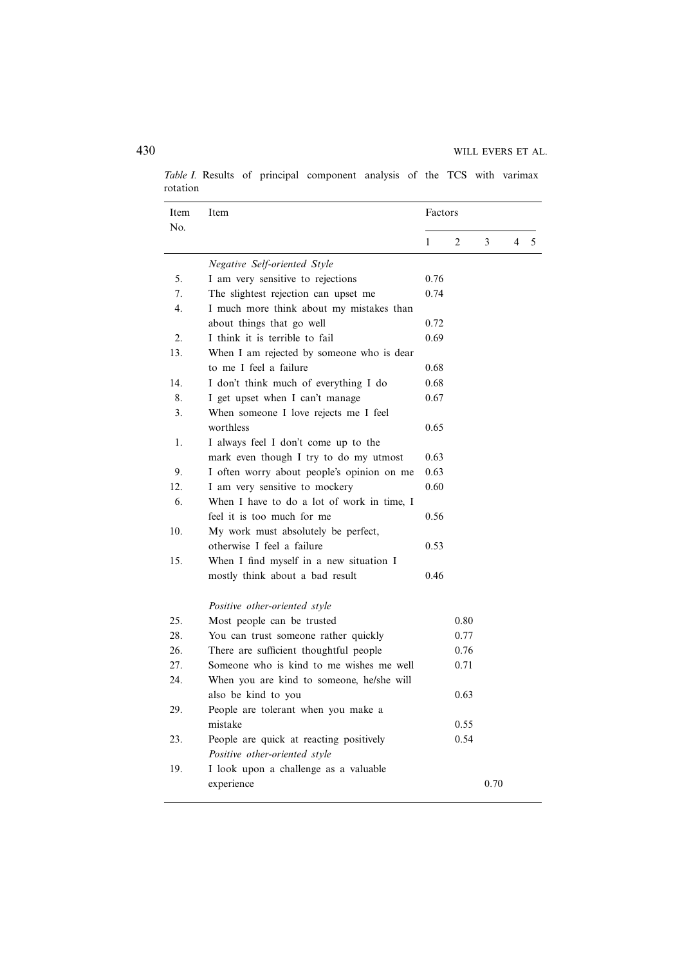*Table I.* Results of principal component analysis of the TCS with varimax rotation

| Item<br>No.      | Item                                       | Factors |      |      |                |   |
|------------------|--------------------------------------------|---------|------|------|----------------|---|
|                  |                                            | 1       | 2    | 3    | $\overline{4}$ | 5 |
|                  | <b>Negative Self-oriented Style</b>        |         |      |      |                |   |
| 5.               | I am very sensitive to rejections          | 0.76    |      |      |                |   |
| 7.               | The slightest rejection can upset me       | 0.74    |      |      |                |   |
| 4.               | I much more think about my mistakes than   |         |      |      |                |   |
|                  | about things that go well                  | 0.72    |      |      |                |   |
| $\overline{2}$ . | I think it is terrible to fail             | 0.69    |      |      |                |   |
| 13.              | When I am rejected by someone who is dear  |         |      |      |                |   |
|                  | to me I feel a failure                     | 0.68    |      |      |                |   |
| 14.              | I don't think much of everything I do      | 0.68    |      |      |                |   |
| 8.               | I get upset when I can't manage            | 0.67    |      |      |                |   |
| 3.               | When someone I love rejects me I feel      |         |      |      |                |   |
|                  | worthless                                  | 0.65    |      |      |                |   |
| 1.               | I always feel I don't come up to the       |         |      |      |                |   |
|                  | mark even though I try to do my utmost     | 0.63    |      |      |                |   |
| 9.               | I often worry about people's opinion on me | 0.63    |      |      |                |   |
| 12.              | I am very sensitive to mockery             | 0.60    |      |      |                |   |
| 6.               | When I have to do a lot of work in time, I |         |      |      |                |   |
|                  | feel it is too much for me                 | 0.56    |      |      |                |   |
| 10.              | My work must absolutely be perfect,        |         |      |      |                |   |
|                  | otherwise I feel a failure                 | 0.53    |      |      |                |   |
| 15.              | When I find myself in a new situation I    |         |      |      |                |   |
|                  | mostly think about a bad result            | 0.46    |      |      |                |   |
|                  | Positive other-oriented style              |         |      |      |                |   |
| 25.              | Most people can be trusted                 |         | 0.80 |      |                |   |
| 28.              | You can trust someone rather quickly       |         | 0.77 |      |                |   |
| 26.              | There are sufficient thoughtful people     |         | 0.76 |      |                |   |
| 27.              | Someone who is kind to me wishes me well   |         | 0.71 |      |                |   |
| 24.              | When you are kind to someone, he/she will  |         |      |      |                |   |
|                  | also be kind to you                        |         | 0.63 |      |                |   |
| 29.              | People are tolerant when you make a        |         |      |      |                |   |
|                  | mistake                                    |         | 0.55 |      |                |   |
| 23.              | People are quick at reacting positively    |         | 0.54 |      |                |   |
|                  | Positive other-oriented style              |         |      |      |                |   |
| 19.              | I look upon a challenge as a valuable      |         |      |      |                |   |
|                  | experience                                 |         |      | 0.70 |                |   |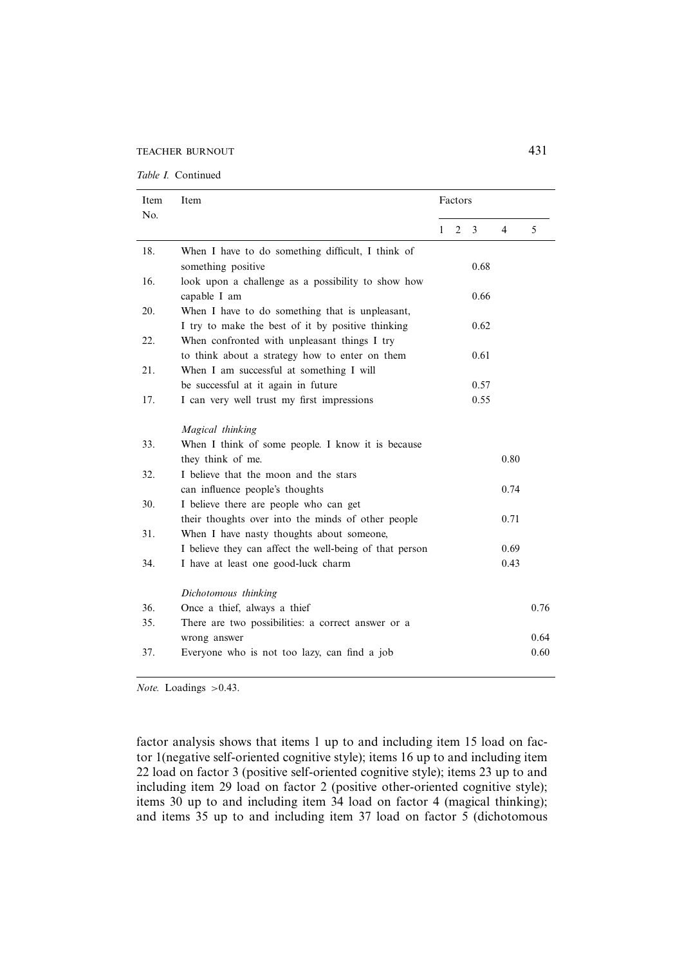TEACHER BURNOUT 431

| Item<br>No. | Item                                                    | Factors |   |      |                |      |
|-------------|---------------------------------------------------------|---------|---|------|----------------|------|
|             |                                                         | 1       | 2 | 3    | $\overline{4}$ | 5    |
| 18.         | When I have to do something difficult, I think of       |         |   |      |                |      |
|             | something positive                                      |         |   | 0.68 |                |      |
| 16.         | look upon a challenge as a possibility to show how      |         |   |      |                |      |
|             | capable I am                                            |         |   | 0.66 |                |      |
| 20.         | When I have to do something that is unpleasant,         |         |   |      |                |      |
|             | I try to make the best of it by positive thinking       |         |   | 0.62 |                |      |
| 22.         | When confronted with unpleasant things I try            |         |   |      |                |      |
|             | to think about a strategy how to enter on them          |         |   | 0.61 |                |      |
| 21.         | When I am successful at something I will                |         |   |      |                |      |
|             | be successful at it again in future                     |         |   | 0.57 |                |      |
| 17.         | I can very well trust my first impressions              |         |   | 0.55 |                |      |
|             |                                                         |         |   |      |                |      |
|             | Magical thinking                                        |         |   |      |                |      |
| 33.         | When I think of some people. I know it is because       |         |   |      |                |      |
|             | they think of me.                                       |         |   |      | 0.80           |      |
| 32.         | I believe that the moon and the stars                   |         |   |      |                |      |
|             | can influence people's thoughts                         |         |   |      | 0.74           |      |
| 30.         | I believe there are people who can get                  |         |   |      |                |      |
|             | their thoughts over into the minds of other people      |         |   |      | 0.71           |      |
| 31.         | When I have nasty thoughts about someone,               |         |   |      |                |      |
|             | I believe they can affect the well-being of that person |         |   |      | 0.69           |      |
| 34.         | I have at least one good-luck charm                     |         |   |      | 0.43           |      |
|             |                                                         |         |   |      |                |      |
|             | Dichotomous thinking                                    |         |   |      |                |      |
| 36.         | Once a thief, always a thief                            |         |   |      |                | 0.76 |
| 35.         | There are two possibilities: a correct answer or a      |         |   |      |                |      |
|             | wrong answer                                            |         |   |      |                | 0.64 |
| 37.         | Everyone who is not too lazy, can find a job            |         |   |      |                | 0.60 |
|             |                                                         |         |   |      |                |      |

*Note.* Loadings *>*0.43.

factor analysis shows that items 1 up to and including item 15 load on factor 1(negative self-oriented cognitive style); items 16 up to and including item 22 load on factor 3 (positive self-oriented cognitive style); items 23 up to and including item 29 load on factor 2 (positive other-oriented cognitive style); items 30 up to and including item 34 load on factor 4 (magical thinking); and items 35 up to and including item 37 load on factor 5 (dichotomous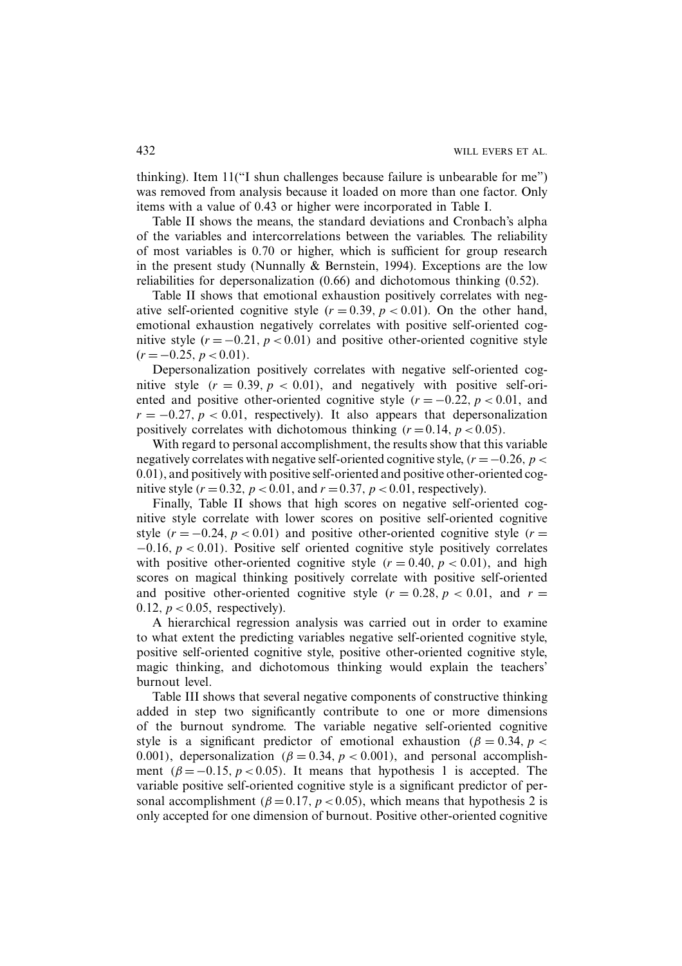thinking). Item 11("I shun challenges because failure is unbearable for me") was removed from analysis because it loaded on more than one factor. Only items with a value of 0.43 or higher were incorporated in Table I.

Table II shows the means, the standard deviations and Cronbach's alpha of the variables and intercorrelations between the variables. The reliability of most variables is 0.70 or higher, which is sufficient for group research in the present study (Nunnally & Bernstein, 1994). Exceptions are the low reliabilities for depersonalization (0.66) and dichotomous thinking (0.52).

Table II shows that emotional exhaustion positively correlates with negative self-oriented cognitive style  $(r = 0.39, p < 0.01)$ . On the other hand, emotional exhaustion negatively correlates with positive self-oriented cognitive style  $(r = -0.21, p < 0.01)$  and positive other-oriented cognitive style  $(r = -0.25, p < 0.01)$ .

Depersonalization positively correlates with negative self-oriented cognitive style  $(r = 0.39, p < 0.01)$ , and negatively with positive self-oriented and positive other-oriented cognitive style  $(r = -0.22, p < 0.01,$  and  $r = -0.27, p < 0.01$ , respectively). It also appears that depersonalization positively correlates with dichotomous thinking  $(r = 0.14, p < 0.05)$ .

With regard to personal accomplishment, the results show that this variable negatively correlates with negative self-oriented cognitive style, *(r* =−0*.*26*,p<* 0*.*01*)*, and positively with positive self-oriented and positive other-oriented cognitive style  $(r = 0.32, p < 0.01,$  and  $r = 0.37, p < 0.01$ , respectively).

Finally, Table II shows that high scores on negative self-oriented cognitive style correlate with lower scores on positive self-oriented cognitive style  $(r = -0.24, p < 0.01)$  and positive other-oriented cognitive style  $(r =$ −0*.*16*,p<* 0*.*01*)*. Positive self oriented cognitive style positively correlates with positive other-oriented cognitive style  $(r = 0.40, p < 0.01)$ , and high scores on magical thinking positively correlate with positive self-oriented and positive other-oriented cognitive style  $(r = 0.28, p < 0.01,$  and  $r =$ 0*.*12*,p<*0*.*05, respectively).

A hierarchical regression analysis was carried out in order to examine to what extent the predicting variables negative self-oriented cognitive style, positive self-oriented cognitive style, positive other-oriented cognitive style, magic thinking, and dichotomous thinking would explain the teachers' burnout level.

Table III shows that several negative components of constructive thinking added in step two significantly contribute to one or more dimensions of the burnout syndrome. The variable negative self-oriented cognitive style is a significant predictor of emotional exhaustion  $(\beta = 0.34, p <$ 0.001), depersonalization  $(\beta = 0.34, p < 0.001)$ , and personal accomplishment  $(\beta = -0.15, p < 0.05)$ . It means that hypothesis 1 is accepted. The variable positive self-oriented cognitive style is a significant predictor of personal accomplishment  $(\beta = 0.17, p < 0.05)$ , which means that hypothesis 2 is only accepted for one dimension of burnout. Positive other-oriented cognitive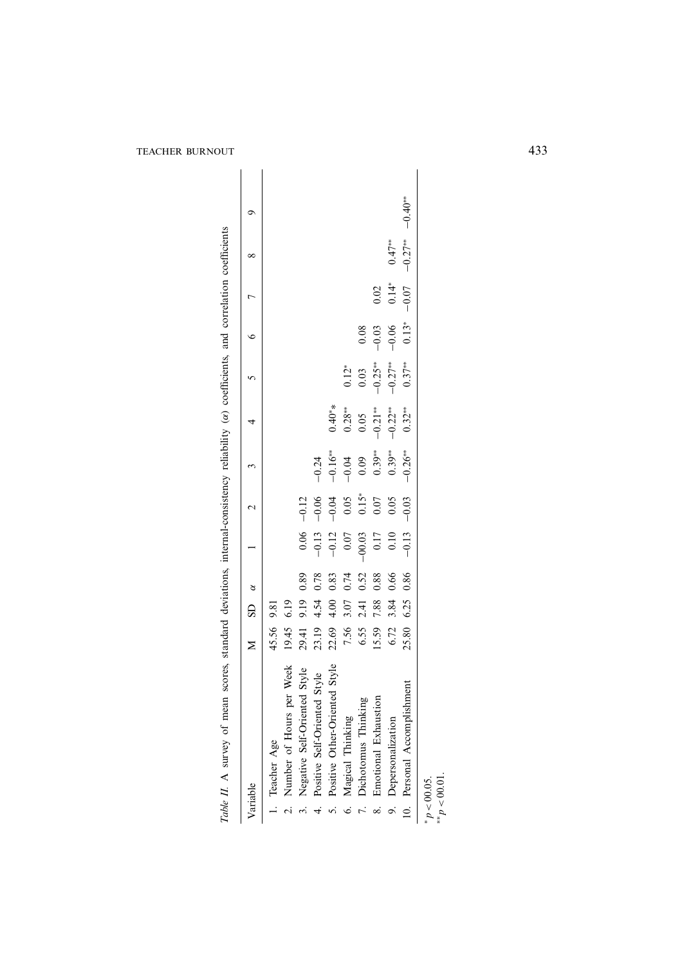| Variable                        |       |      |      |         |         |         |  |  |  |
|---------------------------------|-------|------|------|---------|---------|---------|--|--|--|
| 1. Teacher Age                  | 45.56 | 9.81 |      |         |         |         |  |  |  |
| 2. Number of Hours per Week     | 19.45 | 6.19 |      |         |         |         |  |  |  |
| 3. Negative Self-Oriented Style | 29.41 | 9.19 | 0.89 | 0.06    | $-0.12$ |         |  |  |  |
| 4. Positive Self-Oriented Style | 23.19 | 4.54 | 0.78 | $-0.13$ | $-0.06$ | $-0.24$ |  |  |  |

| Table II. A survey of mean scores, standard deviations, internal-consistency reliability (a) coefficients, and correlation coefficients |               |      |      |                                                                           |                                                       |                                                     |                                                          |                                                                 |                    |                |              |           |
|-----------------------------------------------------------------------------------------------------------------------------------------|---------------|------|------|---------------------------------------------------------------------------|-------------------------------------------------------|-----------------------------------------------------|----------------------------------------------------------|-----------------------------------------------------------------|--------------------|----------------|--------------|-----------|
| Variable                                                                                                                                | $\geq$        | GS   | ð    |                                                                           | $\mathbf{\sim}$                                       | $\mathfrak{c}$                                      | 4                                                        | $\mathbf{c}$                                                    | $\circ$            | $\overline{ }$ | ${}^{\circ}$ | ᡋ         |
| 1. Teacher Age                                                                                                                          | 45.56         | 9.81 |      |                                                                           |                                                       |                                                     |                                                          |                                                                 |                    |                |              |           |
| per Week<br>2. Number of Hours                                                                                                          | 19.45         | 6.19 |      |                                                                           |                                                       |                                                     |                                                          |                                                                 |                    |                |              |           |
| 3. Negative Self-Oriented Style                                                                                                         | 29.41         | 9.19 | 0.89 |                                                                           |                                                       |                                                     |                                                          |                                                                 |                    |                |              |           |
| <b>1.</b> Positive Self-Oriented Style                                                                                                  | 23.19         | 4.54 | 0.78 |                                                                           |                                                       |                                                     |                                                          |                                                                 |                    |                |              |           |
| 5. Positive Other-Oriented Style                                                                                                        | 22.69         | 4.00 | 0.83 |                                                                           |                                                       |                                                     | $0.40**$                                                 |                                                                 |                    |                |              |           |
| 6. Magical Thinking                                                                                                                     | 7.56          | 3.07 | 0.74 | $\begin{array}{r} 0.06 \\ -0.13 \\ -0.12 \\ 0.07 \\ -0.07 \\ \end{array}$ | $-0.12$<br>$-0.06$<br>$-0.04$<br>0.05<br>0.07<br>0.05 | $-0.24$<br>$-0.16**$<br>$-0.04$<br>0.39**<br>0.39** |                                                          | $0.12*$                                                         |                    |                |              |           |
|                                                                                                                                         |               | 2.41 | 0.52 |                                                                           |                                                       |                                                     |                                                          |                                                                 | 0.08               |                |              |           |
| 7. Dichotomus Thinking<br>8. Emotional Exhaustion                                                                                       | 6.55<br>15.59 | 7.88 | 0.88 | $0.17$                                                                    |                                                       |                                                     | $\begin{array}{c} 0.28** \\ 0.05 \\ -0.21** \end{array}$ | $\begin{array}{c}\n 0.03 \\  -0.25** \\  -0.27**\n \end{array}$ |                    | 0.02           |              |           |
| 9. Depersonalization                                                                                                                    | 6.72          | 3.84 | 0.66 | 0.10                                                                      |                                                       | $0.39***$                                           | $-0.22**$                                                |                                                                 | $-0.03$<br>$-0.06$ | $0.14* - 0.07$ | $0.47**$     |           |
| 10. Personal Accomplishment                                                                                                             | 25.80         | 6.25 | 0.86 | $-0.13$                                                                   | $-0.03$                                               | $-0.26**$                                           | $0.32***$                                                | $0.37***$                                                       | $0.13*$            |                | $-0.27**$    | $-0.40**$ |
| ** $p$ < 00.01<br>$p > 00.05$ .                                                                                                         |               |      |      |                                                                           |                                                       |                                                     |                                                          |                                                                 |                    |                |              |           |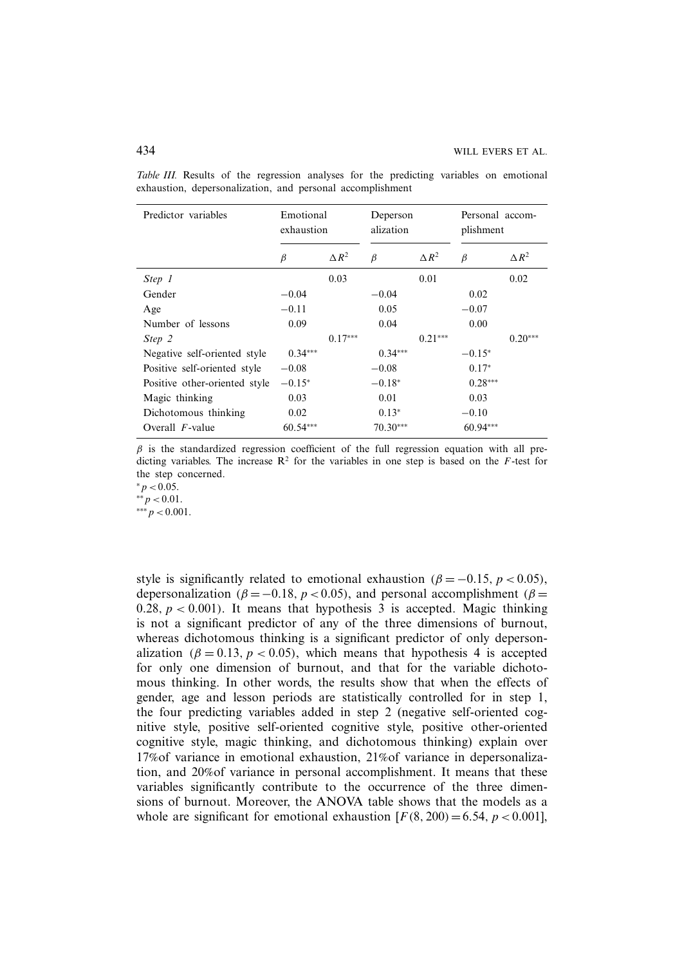| Predictor variables           | Emotional<br>exhaustion |                 | Deperson<br>alization |                 | Personal accom-<br>plishment |                 |
|-------------------------------|-------------------------|-----------------|-----------------------|-----------------|------------------------------|-----------------|
|                               | β                       | $\triangle R^2$ | $\beta$               | $\triangle R^2$ | $\beta$                      | $\triangle R^2$ |
| Step 1                        |                         | 0.03            |                       | 0.01            |                              | 0.02            |
| Gender                        | $-0.04$                 |                 | $-0.04$               |                 | 0.02                         |                 |
| Age                           | $-0.11$                 |                 | 0.05                  |                 | $-0.07$                      |                 |
| Number of lessons             | 0.09                    |                 | 0.04                  |                 | 0.00                         |                 |
| Step 2                        |                         | $0.17***$       |                       | $0.21***$       |                              | $0.20***$       |
| Negative self-oriented style  | $0.34***$               |                 | $0.34***$             |                 | $-0.15*$                     |                 |
| Positive self-oriented style  | $-0.08$                 |                 | $-0.08$               |                 | $0.17*$                      |                 |
| Positive other-oriented style | $-0.15*$                |                 | $-0.18*$              |                 | $0.28***$                    |                 |
| Magic thinking                | 0.03                    |                 | 0.01                  |                 | 0.03                         |                 |
| Dichotomous thinking          | 0.02                    |                 | $0.13*$               |                 | $-0.10$                      |                 |
| Overall $F$ -value            | 60.54***                |                 | $70.30***$            |                 | $60.94***$                   |                 |

*Table III.* Results of the regression analyses for the predicting variables on emotional exhaustion, depersonalization, and personal accomplishment

 $\beta$  is the standardized regression coefficient of the full regression equation with all predicting variables. The increase  $\mathbb{R}^2$  for the variables in one step is based on the *F*-test for the step concerned.

*.* 

∗∗*p <*0*.*01*.*

∗∗∗*p <*0*.*001.

style is significantly related to emotional exhaustion  $(\beta = -0.15, p < 0.05)$ , depersonalization  $(\beta = -0.18, p < 0.05)$ , and personal accomplishment  $(\beta =$ 0.28,  $p < 0.001$ ). It means that hypothesis 3 is accepted. Magic thinking is not a significant predictor of any of the three dimensions of burnout, whereas dichotomous thinking is a significant predictor of only depersonalization  $(\beta = 0.13, p < 0.05)$ , which means that hypothesis 4 is accepted for only one dimension of burnout, and that for the variable dichotomous thinking. In other words, the results show that when the effects of gender, age and lesson periods are statistically controlled for in step 1, the four predicting variables added in step 2 (negative self-oriented cognitive style, positive self-oriented cognitive style, positive other-oriented cognitive style, magic thinking, and dichotomous thinking) explain over 17%of variance in emotional exhaustion, 21%of variance in depersonalization, and 20%of variance in personal accomplishment. It means that these variables significantly contribute to the occurrence of the three dimensions of burnout. Moreover, the ANOVA table shows that the models as a whole are significant for emotional exhaustion  $[F(8, 200) = 6.54, p < 0.001]$ ,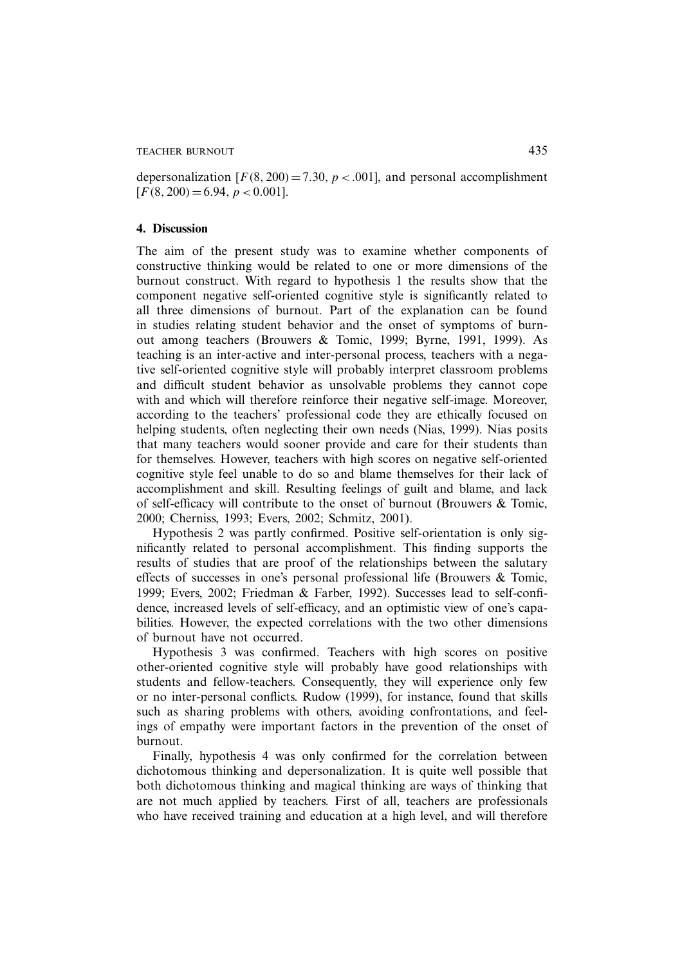depersonalization  $[F(8, 200) = 7.30, p < .001]$ , and personal accomplishment  $[F(8, 200) = 6.94, p < 0.001].$ 

#### **4. Discussion**

The aim of the present study was to examine whether components of constructive thinking would be related to one or more dimensions of the burnout construct. With regard to hypothesis 1 the results show that the component negative self-oriented cognitive style is significantly related to all three dimensions of burnout. Part of the explanation can be found in studies relating student behavior and the onset of symptoms of burnout among teachers (Brouwers & Tomic, 1999; Byrne, 1991, 1999). As teaching is an inter-active and inter-personal process, teachers with a negative self-oriented cognitive style will probably interpret classroom problems and difficult student behavior as unsolvable problems they cannot cope with and which will therefore reinforce their negative self-image. Moreover, according to the teachers' professional code they are ethically focused on helping students, often neglecting their own needs (Nias, 1999). Nias posits that many teachers would sooner provide and care for their students than for themselves. However, teachers with high scores on negative self-oriented cognitive style feel unable to do so and blame themselves for their lack of accomplishment and skill. Resulting feelings of guilt and blame, and lack of self-efficacy will contribute to the onset of burnout (Brouwers & Tomic, 2000; Cherniss, 1993; Evers, 2002; Schmitz, 2001).

Hypothesis 2 was partly confirmed. Positive self-orientation is only significantly related to personal accomplishment. This finding supports the results of studies that are proof of the relationships between the salutary effects of successes in one's personal professional life (Brouwers & Tomic, 1999; Evers, 2002; Friedman & Farber, 1992). Successes lead to self-confidence, increased levels of self-efficacy, and an optimistic view of one's capabilities. However, the expected correlations with the two other dimensions of burnout have not occurred.

Hypothesis 3 was confirmed. Teachers with high scores on positive other-oriented cognitive style will probably have good relationships with students and fellow-teachers. Consequently, they will experience only few or no inter-personal conflicts. Rudow (1999), for instance, found that skills such as sharing problems with others, avoiding confrontations, and feelings of empathy were important factors in the prevention of the onset of burnout.

Finally, hypothesis 4 was only confirmed for the correlation between dichotomous thinking and depersonalization. It is quite well possible that both dichotomous thinking and magical thinking are ways of thinking that are not much applied by teachers. First of all, teachers are professionals who have received training and education at a high level, and will therefore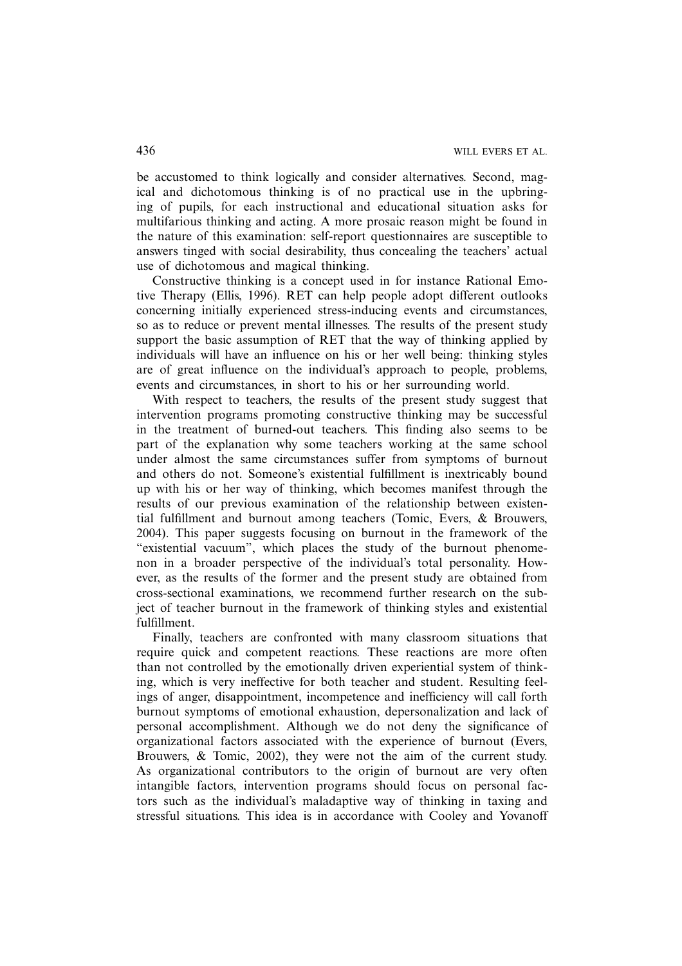be accustomed to think logically and consider alternatives. Second, magical and dichotomous thinking is of no practical use in the upbringing of pupils, for each instructional and educational situation asks for multifarious thinking and acting. A more prosaic reason might be found in the nature of this examination: self-report questionnaires are susceptible to answers tinged with social desirability, thus concealing the teachers' actual use of dichotomous and magical thinking.

Constructive thinking is a concept used in for instance Rational Emotive Therapy (Ellis, 1996). RET can help people adopt different outlooks concerning initially experienced stress-inducing events and circumstances, so as to reduce or prevent mental illnesses. The results of the present study support the basic assumption of RET that the way of thinking applied by individuals will have an influence on his or her well being: thinking styles are of great influence on the individual's approach to people, problems, events and circumstances, in short to his or her surrounding world.

With respect to teachers, the results of the present study suggest that intervention programs promoting constructive thinking may be successful in the treatment of burned-out teachers. This finding also seems to be part of the explanation why some teachers working at the same school under almost the same circumstances suffer from symptoms of burnout and others do not. Someone's existential fulfillment is inextricably bound up with his or her way of thinking, which becomes manifest through the results of our previous examination of the relationship between existential fulfillment and burnout among teachers (Tomic, Evers, & Brouwers, 2004). This paper suggests focusing on burnout in the framework of the "existential vacuum", which places the study of the burnout phenomenon in a broader perspective of the individual's total personality. However, as the results of the former and the present study are obtained from cross-sectional examinations, we recommend further research on the subject of teacher burnout in the framework of thinking styles and existential fulfillment.

Finally, teachers are confronted with many classroom situations that require quick and competent reactions. These reactions are more often than not controlled by the emotionally driven experiential system of thinking, which is very ineffective for both teacher and student. Resulting feelings of anger, disappointment, incompetence and inefficiency will call forth burnout symptoms of emotional exhaustion, depersonalization and lack of personal accomplishment. Although we do not deny the significance of organizational factors associated with the experience of burnout (Evers, Brouwers, & Tomic, 2002), they were not the aim of the current study. As organizational contributors to the origin of burnout are very often intangible factors, intervention programs should focus on personal factors such as the individual's maladaptive way of thinking in taxing and stressful situations. This idea is in accordance with Cooley and Yovanoff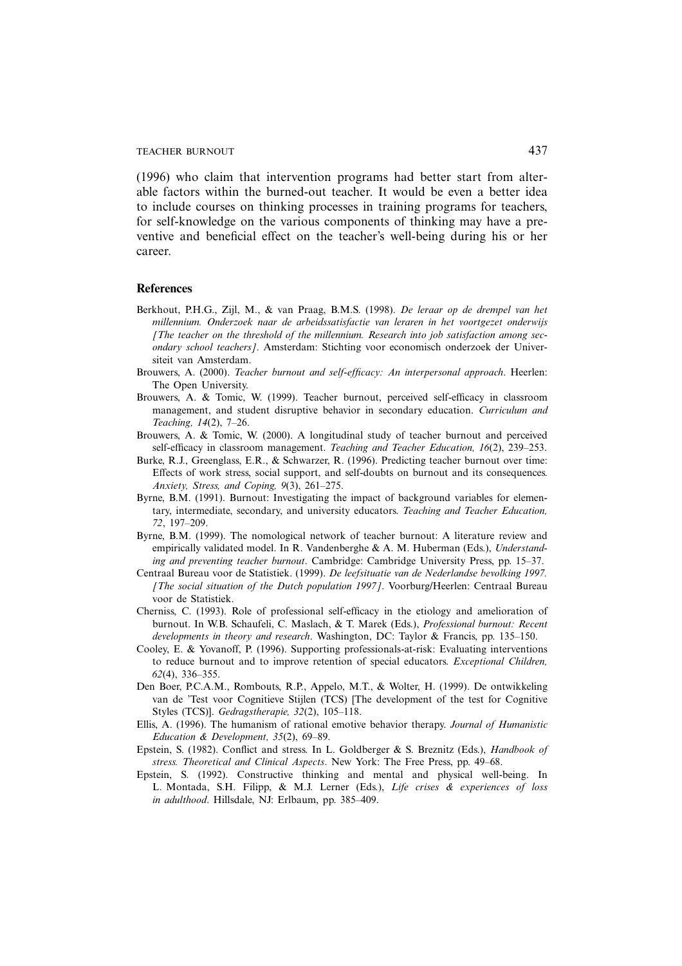(1996) who claim that intervention programs had better start from alterable factors within the burned-out teacher. It would be even a better idea to include courses on thinking processes in training programs for teachers, for self-knowledge on the various components of thinking may have a preventive and beneficial effect on the teacher's well-being during his or her career.

#### **References**

- Berkhout, P.H.G., Zijl, M., & van Praag, B.M.S. (1998). *De leraar op de drempel van het millennium. Onderzoek naar de arbeidssatisfactie van leraren in het voortgezet onderwijs [The teacher on the threshold of the millennium. Research into job satisfaction among secondary school teachers]*. Amsterdam: Stichting voor economisch onderzoek der Universiteit van Amsterdam.
- Brouwers, A. (2000). *Teacher burnout and self-efficacy: An interpersonal approach*. Heerlen: The Open University.
- Brouwers, A. & Tomic, W. (1999). Teacher burnout, perceived self-efficacy in classroom management, and student disruptive behavior in secondary education. *Curriculum and Teaching, 14*(2), 7–26.
- Brouwers, A. & Tomic, W. (2000). A longitudinal study of teacher burnout and perceived self-efficacy in classroom management. *Teaching and Teacher Education, 16*(2), 239–253.
- Burke, R.J., Greenglass, E.R., & Schwarzer, R. (1996). Predicting teacher burnout over time: Effects of work stress, social support, and self-doubts on burnout and its consequences. *Anxiety, Stress, and Coping, 9*(3), 261–275.
- Byrne, B.M. (1991). Burnout: Investigating the impact of background variables for elementary, intermediate, secondary, and university educators. *Teaching and Teacher Education, 72*, 197–209.
- Byrne, B.M. (1999). The nomological network of teacher burnout: A literature review and empirically validated model. In R. Vandenberghe & A. M. Huberman (Eds.), *Understanding and preventing teacher burnout*. Cambridge: Cambridge University Press, pp. 15–37.
- Centraal Bureau voor de Statistiek. (1999). *De leefsituatie van de Nederlandse bevolking 1997. [The social situation of the Dutch population 1997]*. Voorburg/Heerlen: Centraal Bureau voor de Statistiek.
- Cherniss, C. (1993). Role of professional self-efficacy in the etiology and amelioration of burnout. In W.B. Schaufeli, C. Maslach, & T. Marek (Eds.), *Professional burnout: Recent developments in theory and research*. Washington, DC: Taylor & Francis, pp. 135–150.
- Cooley, E. & Yovanoff, P. (1996). Supporting professionals-at-risk: Evaluating interventions to reduce burnout and to improve retention of special educators. *Exceptional Children, 62*(4), 336–355.
- Den Boer, P.C.A.M., Rombouts, R.P., Appelo, M.T., & Wolter, H. (1999). De ontwikkeling van de 'Test voor Cognitieve Stijlen (TCS) [The development of the test for Cognitive Styles (TCS)]. *Gedragstherapie, 32*(2), 105–118.
- Ellis, A. (1996). The humanism of rational emotive behavior therapy. *Journal of Humanistic Education & Development, 35*(2), 69–89.
- Epstein, S. (1982). Conflict and stress. In L. Goldberger & S. Breznitz (Eds.), *Handbook of stress. Theoretical and Clinical Aspects*. New York: The Free Press, pp. 49–68.
- Epstein, S. (1992). Constructive thinking and mental and physical well-being. In L. Montada, S.H. Filipp, & M.J. Lerner (Eds.), *Life crises & experiences of loss in adulthood*. Hillsdale, NJ: Erlbaum, pp. 385–409.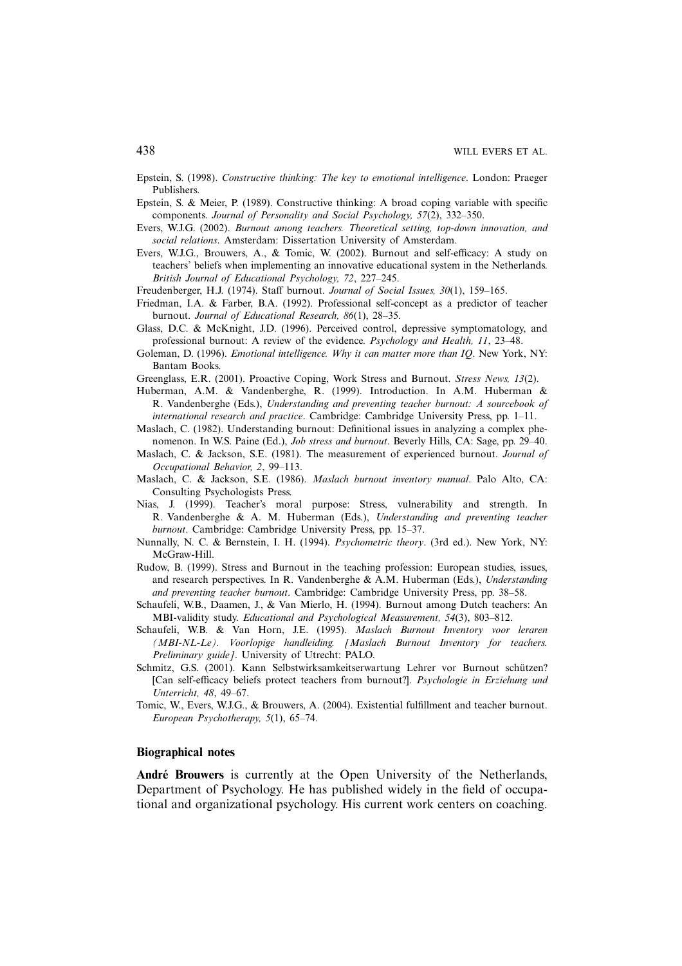- Epstein, S. (1998). *Constructive thinking: The key to emotional intelligence*. London: Praeger Publishers.
- Epstein, S. & Meier, P. (1989). Constructive thinking: A broad coping variable with specific components. *Journal of Personality and Social Psychology, 57*(2), 332–350.
- Evers, W.J.G. (2002). *Burnout among teachers. Theoretical setting, top-down innovation, and social relations*. Amsterdam: Dissertation University of Amsterdam.
- Evers, W.J.G., Brouwers, A., & Tomic, W. (2002). Burnout and self-efficacy: A study on teachers' beliefs when implementing an innovative educational system in the Netherlands. *British Journal of Educational Psychology, 72*, 227–245.
- Freudenberger, H.J. (1974). Staff burnout. *Journal of Social Issues, 30*(1), 159–165.
- Friedman, I.A. & Farber, B.A. (1992). Professional self-concept as a predictor of teacher burnout. *Journal of Educational Research, 86*(1), 28–35.
- Glass, D.C. & McKnight, J.D. (1996). Perceived control, depressive symptomatology, and professional burnout: A review of the evidence. *Psychology and Health, 11*, 23–48.
- Goleman, D. (1996). *Emotional intelligence. Why it can matter more than IQ*. New York, NY: Bantam Books.
- Greenglass, E.R. (2001). Proactive Coping, Work Stress and Burnout. *Stress News, 13*(2).
- Huberman, A.M. & Vandenberghe, R. (1999). Introduction. In A.M. Huberman & R. Vandenberghe (Eds.), *Understanding and preventing teacher burnout: A sourcebook of international research and practice*. Cambridge: Cambridge University Press, pp. 1–11.
- Maslach, C. (1982). Understanding burnout: Definitional issues in analyzing a complex phenomenon. In W.S. Paine (Ed.), *Job stress and burnout*. Beverly Hills, CA: Sage, pp. 29–40.
- Maslach, C. & Jackson, S.E. (1981). The measurement of experienced burnout. *Journal of Occupational Behavior, 2*, 99–113.
- Maslach, C. & Jackson, S.E. (1986). *Maslach burnout inventory manual*. Palo Alto, CA: Consulting Psychologists Press.
- Nias, J. (1999). Teacher's moral purpose: Stress, vulnerability and strength. In R. Vandenberghe & A. M. Huberman (Eds.), *Understanding and preventing teacher burnout*. Cambridge: Cambridge University Press, pp. 15–37.
- Nunnally, N. C. & Bernstein, I. H. (1994). *Psychometric theory*. (3rd ed.). New York, NY: McGraw-Hill.
- Rudow, B. (1999). Stress and Burnout in the teaching profession: European studies, issues, and research perspectives. In R. Vandenberghe & A.M. Huberman (Eds.), *Understanding and preventing teacher burnout*. Cambridge: Cambridge University Press, pp. 38–58.
- Schaufeli, W.B., Daamen, J., & Van Mierlo, H. (1994). Burnout among Dutch teachers: An MBI-validity study. *Educational and Psychological Measurement, 54*(3), 803–812.
- Schaufeli, W.B. & Van Horn, J.E. (1995). *Maslach Burnout Inventory voor leraren (MBI-NL-Le). Voorlopige handleiding. [Maslach Burnout Inventory for teachers. Preliminary guide]*. University of Utrecht: PALO.
- Schmitz, G.S. (2001). Kann Selbstwirksamkeitserwartung Lehrer vor Burnout schutzen? ¨ [Can self-efficacy beliefs protect teachers from burnout?]. *Psychologie in Erziehung und Unterricht, 48*, 49–67.
- Tomic, W., Evers, W.J.G., & Brouwers, A. (2004). Existential fulfillment and teacher burnout. *European Psychotherapy, 5*(1), 65–74.

#### **Biographical notes**

André Brouwers is currently at the Open University of the Netherlands, Department of Psychology. He has published widely in the field of occupational and organizational psychology. His current work centers on coaching.